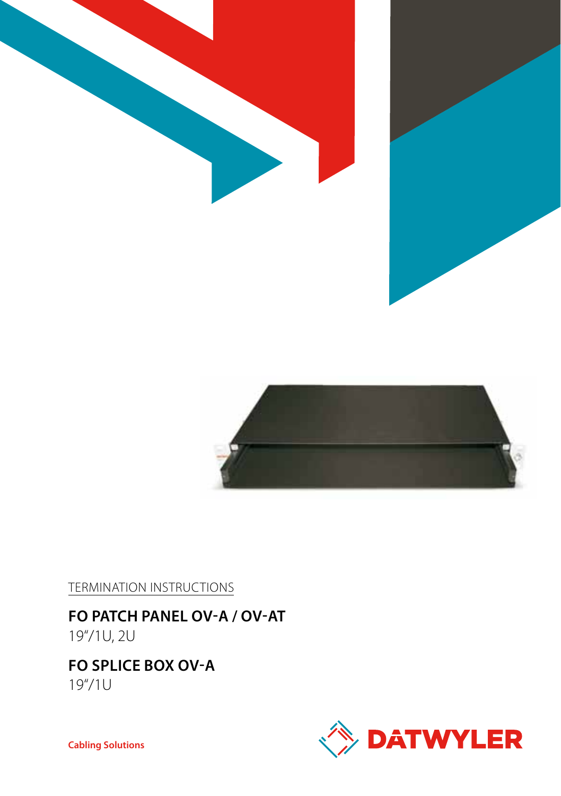



Termination Instructions

**FO Patch panel OV-A / OV-AT** 19"/1U, 2U

# **FO splice box OV-A**

19"/1U



**Cabling Solutions**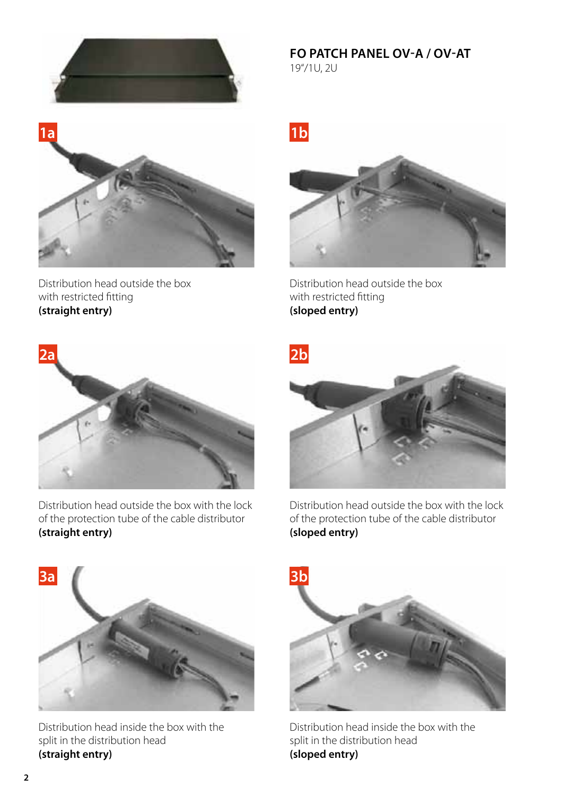

**FO Patch panel OV-A / OV-AT** 19"/1U, 2U



Distribution head outside the box with restricted fitting **(straight entry)**



Distribution head outside the box with restricted fitting **(sloped entry)**



Distribution head outside the box with the lock of the protection tube of the cable distributor **(straight entry)**



Distribution head outside the box with the lock of the protection tube of the cable distributor **(sloped entry)**



Distribution head inside the box with the split in the distribution head **(straight entry)**



Distribution head inside the box with the split in the distribution head **(sloped entry)**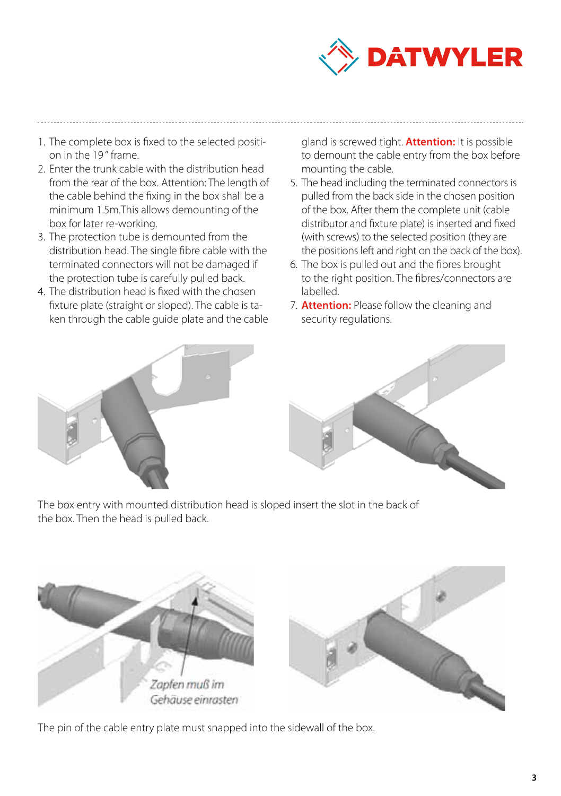

- 1. The complete box is fixed to the selected position in the 19 " frame.
- 2. Enter the trunk cable with the distribution head from the rear of the box. Attention: The length of the cable behind the fixing in the box shall be a minimum 1.5m.This allows demounting of the box for later re-working.
- 3. The protection tube is demounted from the distribution head. The single fibre cable with the terminated connectors will not be damaged if the protection tube is carefully pulled back.
- 4. The distribution head is fixed with the chosen fixture plate (straight or sloped). The cable is taken through the cable guide plate and the cable



gland is screwed tight. **Attention:** It is possible to demount the cable entry from the box before mounting the cable.

- 5. The head including the terminated connectors is pulled from the back side in the chosen position of the box. After them the complete unit (cable distributor and fixture plate) is inserted and fixed (with screws) to the selected position (they are the positions left and right on the back of the box).
- 6. The box is pulled out and the fibres brought to the right position. The fibres/connectors are labelled.
- 7. **Attention:** Please follow the cleaning and security regulations.



The box entry with mounted distribution head is sloped insert the slot in the back of the box. Then the head is pulled back.



The pin of the cable entry plate must snapped into the sidewall of the box.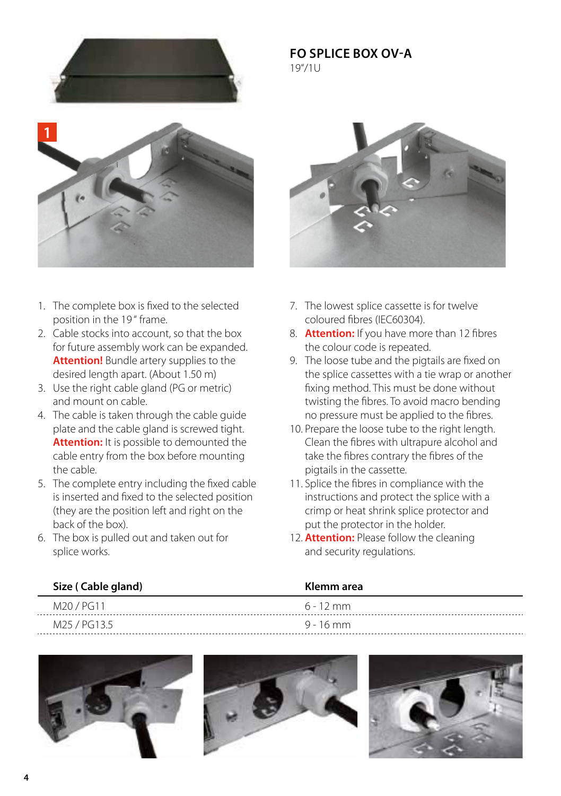

## **FO Splice box OV-A** 19"/1U



- 1. The complete box is fixed to the selected position in the 19 " frame.
- 2. Cable stocks into account, so that the box for future assembly work can be expanded.  **Attention!** Bundle artery supplies to the desired length apart. (About 1.50 m)
- 3. Use the right cable gland (PG or metric) and mount on cable.
- 4. The cable is taken through the cable guide plate and the cable gland is screwed tight.  **Attention:** It is possible to demounted the cable entry from the box before mounting the cable.
- 5. The complete entry including the fixed cable is inserted and fixed to the selected position (they are the position left and right on the back of the box).

M25 / PG13.5 9 - 16 mm

6. The box is pulled out and taken out for splice works.



- 7. The lowest splice cassette is for twelve coloured fibres (IEC60304).
- 8. **Attention:** If you have more than 12 fibres the colour code is repeated.
- 9. The loose tube and the pigtails are fixed on the splice cassettes with a tie wrap or another fixing method. This must be done without twisting the fibres. To avoid macro bending no pressure must be applied to the fibres.
- 10. Prepare the loose tube to the right length. Clean the fibres with ultrapure alcohol and take the fibres contrary the fibres of the pigtails in the cassette.
- 11. Splice the fibres in compliance with the instructions and protect the splice with a crimp or heat shrink splice protector and put the protector in the holder.
- 12. **Attention:** Please follow the cleaning and security regulations.

## **Size ( Cable gland) Klemm area**

M<sub>20</sub> / PG11 6 - 12 mm





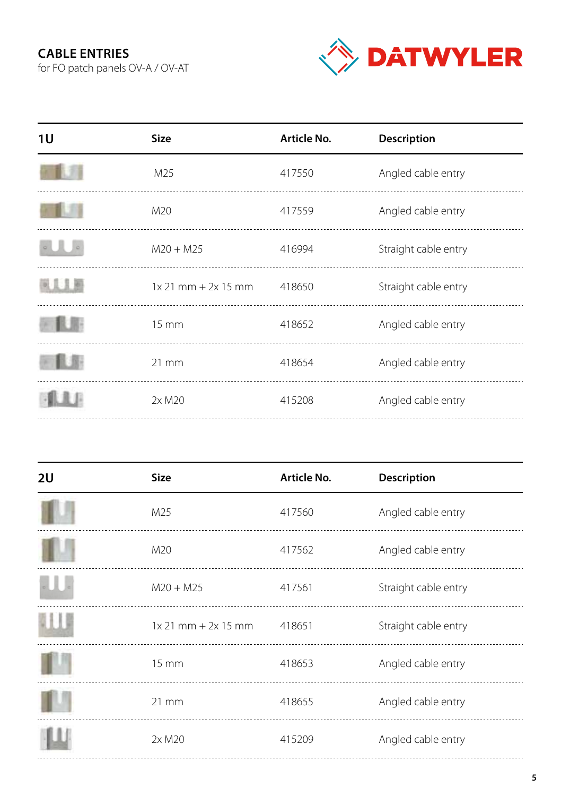# **cable entries**

for FO patch panels OV-A / OV-AT



| 1U  | <b>Size</b>             | Article No. | <b>Description</b>   |
|-----|-------------------------|-------------|----------------------|
|     | M <sub>25</sub>         | 417550      | Angled cable entry   |
|     | M20                     | 417559      | Angled cable entry   |
|     | $M20 + M25$             | 416994      | Straight cable entry |
| 上上市 | $1x 21$ mm + $2x 15$ mm | 418650      | Straight cable entry |
|     | $15 \, \text{mm}$       | 418652      | Angled cable entry   |
|     | $21 \, \text{mm}$       | 418654      | Angled cable entry   |
|     | 2x M20                  | 415208      | Angled cable entry   |
|     |                         |             |                      |

| 2U | <b>Size</b>             | Article No. | <b>Description</b>   |
|----|-------------------------|-------------|----------------------|
|    | M25                     | 417560      | Angled cable entry   |
|    | M20                     | 417562      | Angled cable entry   |
|    | $M20 + M25$             | 417561      | Straight cable entry |
|    | $1x 21$ mm + $2x 15$ mm | 418651      | Straight cable entry |
|    | $15 \, \text{mm}$       | 418653      | Angled cable entry   |
|    | $21 \, \text{mm}$       | 418655      | Angled cable entry   |
|    | 2x M20                  | 415209      | Angled cable entry   |